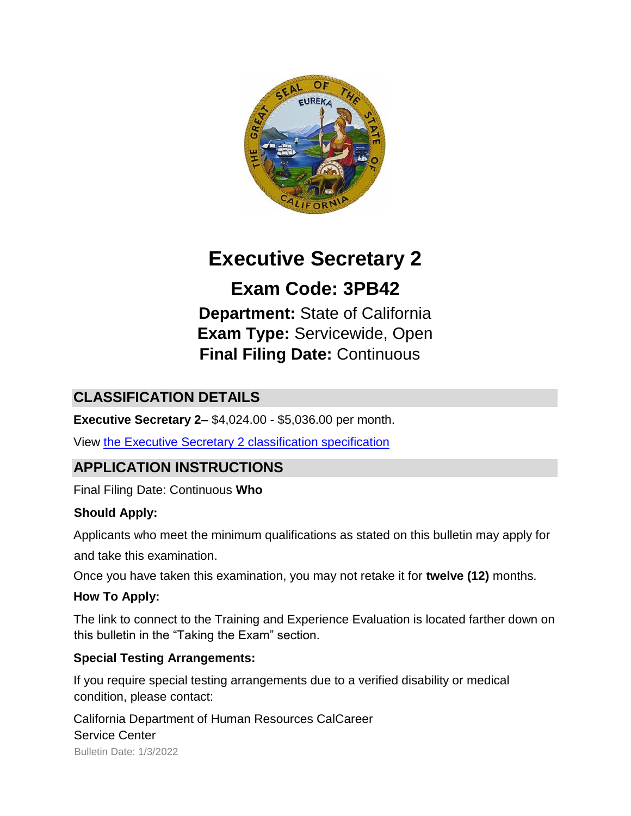

# **Executive Secretary 2**

## **Exam Code: 3PB42**

**Department:** State of California **Exam Type:** Servicewide, Open **Final Filing Date:** Continuous

## **CLASSIFICATION DETAILS**

**Executive Secretary 2–** \$4,024.00 - \$5,036.00 per month.

View [the Executive Secretary 2 classification specification](http://calhr.ca.gov/state-hr-professionals/pages/1176.aspx)

## **APPLICATION INSTRUCTIONS**

Final Filing Date: Continuous **Who** 

#### **Should Apply:**

Applicants who meet the minimum qualifications as stated on this bulletin may apply for

and take this examination.

Once you have taken this examination, you may not retake it for **twelve (12)** months.

#### **How To Apply:**

The link to connect to the Training and Experience Evaluation is located farther down on this bulletin in the "Taking the Exam" section.

#### **Special Testing Arrangements:**

If you require special testing arrangements due to a verified disability or medical condition, please contact:

Bulletin Date: 1/3/2022 California Department of Human Resources CalCareer Service Center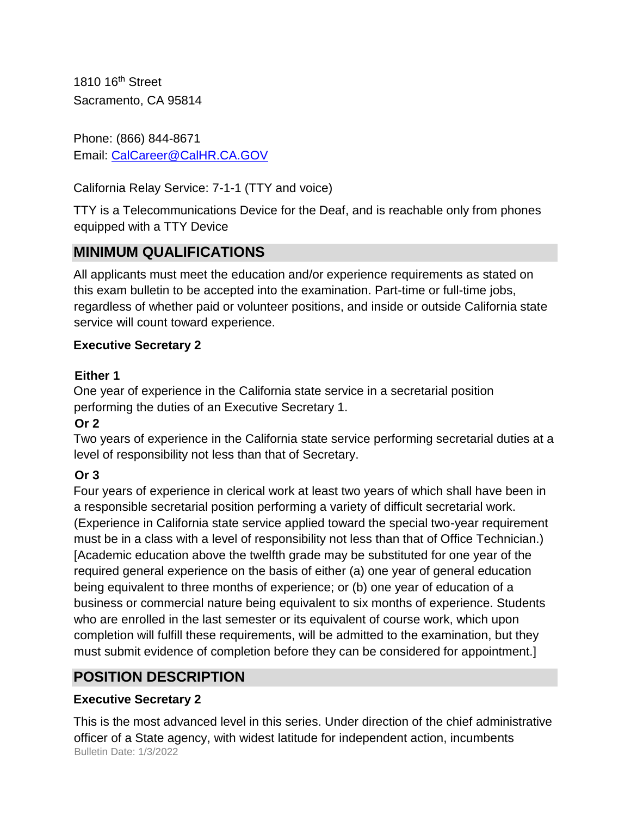1810 16th Street Sacramento, CA 95814

Phone: (866) 844-8671 Email: CalCareer@CalHR.CA.GOV

California Relay Service: 7-1-1 (TTY and voice)

TTY is a Telecommunications Device for the Deaf, and is reachable only from phones equipped with a TTY Device

## **MINIMUM QUALIFICATIONS**

All applicants must meet the education and/or experience requirements as stated on this exam bulletin to be accepted into the examination. Part-time or full-time jobs, regardless of whether paid or volunteer positions, and inside or outside California state service will count toward experience.

#### **Executive Secretary 2**

#### **Either 1**

One year of experience in the California state service in a secretarial position performing the duties of an Executive Secretary 1.

#### **Or 2**

Two years of experience in the California state service performing secretarial duties at a level of responsibility not less than that of Secretary.

#### **Or 3**

Four years of experience in clerical work at least two years of which shall have been in a responsible secretarial position performing a variety of difficult secretarial work. (Experience in California state service applied toward the special two-year requirement must be in a class with a level of responsibility not less than that of Office Technician.) [Academic education above the twelfth grade may be substituted for one year of the required general experience on the basis of either (a) one year of general education being equivalent to three months of experience; or (b) one year of education of a business or commercial nature being equivalent to six months of experience. Students who are enrolled in the last semester or its equivalent of course work, which upon completion will fulfill these requirements, will be admitted to the examination, but they must submit evidence of completion before they can be considered for appointment.]

## **POSITION DESCRIPTION**

#### **Executive Secretary 2**

Bulletin Date: 1/3/2022 This is the most advanced level in this series. Under direction of the chief administrative officer of a State agency, with widest latitude for independent action, incumbents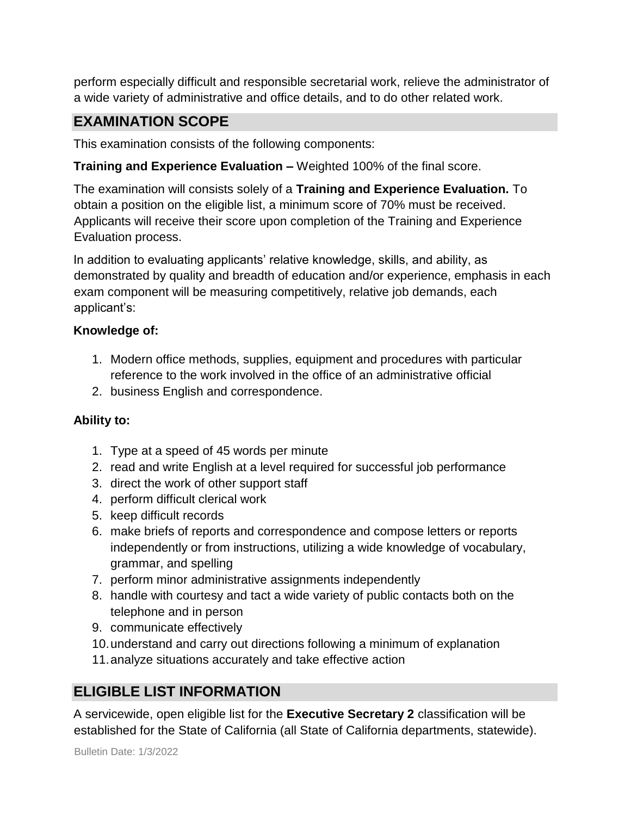perform especially difficult and responsible secretarial work, relieve the administrator of a wide variety of administrative and office details, and to do other related work.

## **EXAMINATION SCOPE**

This examination consists of the following components:

#### **Training and Experience Evaluation –** Weighted 100% of the final score.

The examination will consists solely of a **Training and Experience Evaluation.** To obtain a position on the eligible list, a minimum score of 70% must be received. Applicants will receive their score upon completion of the Training and Experience Evaluation process.

In addition to evaluating applicants' relative knowledge, skills, and ability, as demonstrated by quality and breadth of education and/or experience, emphasis in each exam component will be measuring competitively, relative job demands, each applicant's:

#### **Knowledge of:**

- 1. Modern office methods, supplies, equipment and procedures with particular reference to the work involved in the office of an administrative official
- 2. business English and correspondence.

#### **Ability to:**

- 1. Type at a speed of 45 words per minute
- 2. read and write English at a level required for successful job performance
- 3. direct the work of other support staff
- 4. perform difficult clerical work
- 5. keep difficult records
- 6. make briefs of reports and correspondence and compose letters or reports independently or from instructions, utilizing a wide knowledge of vocabulary, grammar, and spelling
- 7. perform minor administrative assignments independently
- 8. handle with courtesy and tact a wide variety of public contacts both on the telephone and in person
- 9. communicate effectively
- 10.understand and carry out directions following a minimum of explanation
- 11.analyze situations accurately and take effective action

## **ELIGIBLE LIST INFORMATION**

A servicewide, open eligible list for the **Executive Secretary 2** classification will be established for the State of California (all State of California departments, statewide).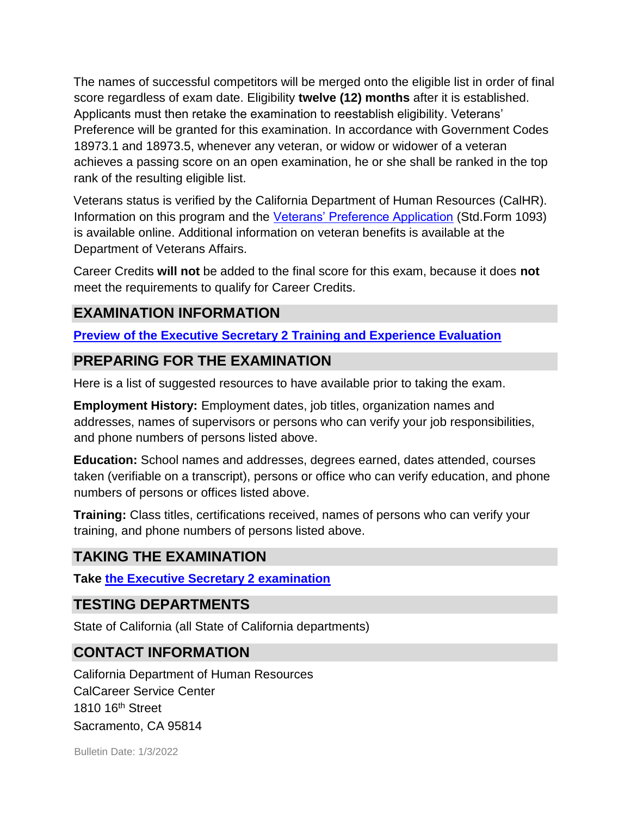The names of successful competitors will be merged onto the eligible list in order of final score regardless of exam date. Eligibility **twelve (12) months** after it is established. Applicants must then retake the examination to reestablish eligibility. Veterans' Preference will be granted for this examination. In accordance with Government Codes 18973.1 and 18973.5, whenever any veteran, or widow or widower of a veteran achieves a passing score on an open examination, he or she shall be ranked in the top rank of the resulting eligible list.

Veterans status is verified by the California Department of Human Resources (CalHR). Information on this program and the [Veterans' Preference Application](https://www.jobs.ca.gov/CalHRPublic/Landing/Jobs/VeteransInformation.aspx) [\(](https://www.jobs.ca.gov/CalHRPublic/Landing/Jobs/VeteransInformation.aspx)Std.Form 1093) is available online. Additional information on veteran benefits is available at the Department of Veterans Affairs.

Career Credits **will not** be added to the final score for this exam, because it does **not**  meet the requirements to qualify for Career Credits.

#### **EXAMINATION INFORMATION**

#### **[Preview of the Executive Secretary 2 Training and Experience Evaluation](https://jobs.ca.gov/JOBSGEN/3PB42C.PDF)**

#### **PREPARING FOR THE EXAMINATION**

Here is a list of suggested resources to have available prior to taking the exam.

**Employment History:** Employment dates, job titles, organization names and addresses, names of supervisors or persons who can verify your job responsibilities, and phone numbers of persons listed above.

**Education:** School names and addresses, degrees earned, dates attended, courses taken (verifiable on a transcript), persons or office who can verify education, and phone numbers of persons or offices listed above.

**Training:** Class titles, certifications received, names of persons who can verify your training, and phone numbers of persons listed above.

## **TAKING THE EXAMINATION**

**Take [the Executive Secretary 2 examination](https://exams.spb.ca.gov/exams/es2/index.cfm)**

#### **TESTING DEPARTMENTS**

State of California (all State of California departments)

#### **CONTACT INFORMATION**

California Department of Human Resources CalCareer Service Center 1810 16<sup>th</sup> Street Sacramento, CA 95814

Bulletin Date: 1/3/2022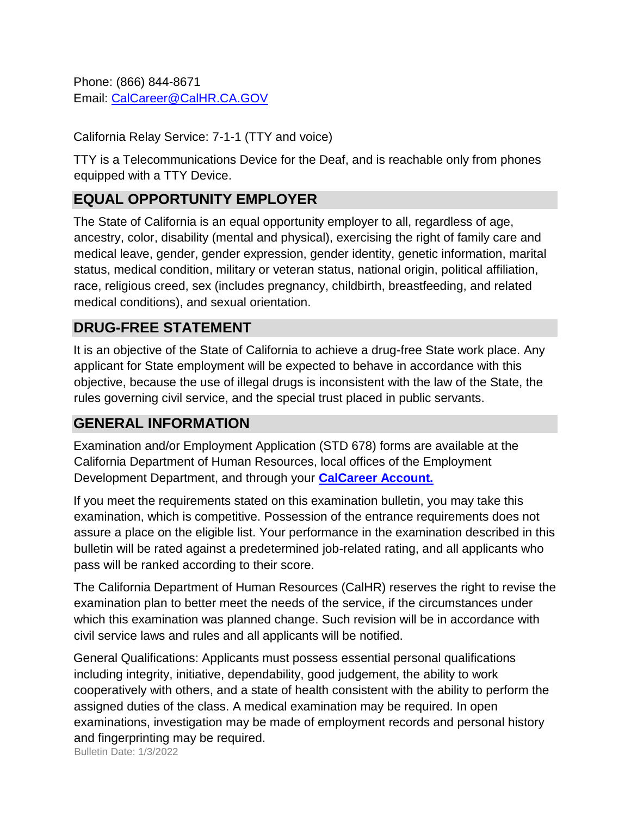Phone: (866) 844-8671 Email: CalCareer@CalHR.CA.GOV

California Relay Service: 7-1-1 (TTY and voice)

TTY is a Telecommunications Device for the Deaf, and is reachable only from phones equipped with a TTY Device.

## **EQUAL OPPORTUNITY EMPLOYER**

The State of California is an equal opportunity employer to all, regardless of age, ancestry, color, disability (mental and physical), exercising the right of family care and medical leave, gender, gender expression, gender identity, genetic information, marital status, medical condition, military or veteran status, national origin, political affiliation, race, religious creed, sex (includes pregnancy, childbirth, breastfeeding, and related medical conditions), and sexual orientation.

## **DRUG-FREE STATEMENT**

It is an objective of the State of California to achieve a drug-free State work place. Any applicant for State employment will be expected to behave in accordance with this objective, because the use of illegal drugs is inconsistent with the law of the State, the rules governing civil service, and the special trust placed in public servants.

#### **GENERAL INFORMATION**

Examination and/or Employment Application (STD 678) forms are available at the California Department of Human Resources, local offices of the Employment Development Department, and through your **[CalCareer Account.](http://www.jobs.ca.gov/)**

If you meet the requirements stated on this examination bulletin, you may take this examination, which is competitive. Possession of the entrance requirements does not assure a place on the eligible list. Your performance in the examination described in this bulletin will be rated against a predetermined job-related rating, and all applicants who pass will be ranked according to their score.

The California Department of Human Resources (CalHR) reserves the right to revise the examination plan to better meet the needs of the service, if the circumstances under which this examination was planned change. Such revision will be in accordance with civil service laws and rules and all applicants will be notified.

General Qualifications: Applicants must possess essential personal qualifications including integrity, initiative, dependability, good judgement, the ability to work cooperatively with others, and a state of health consistent with the ability to perform the assigned duties of the class. A medical examination may be required. In open examinations, investigation may be made of employment records and personal history and fingerprinting may be required.

Bulletin Date: 1/3/2022